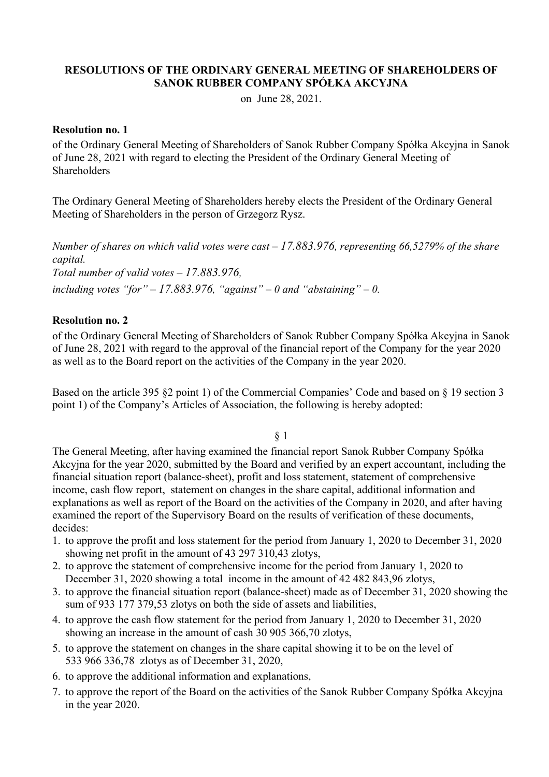#### **RESOLUTIONS OF THE ORDINARY GENERAL MEETING OF SHAREHOLDERS OF SANOK RUBBER COMPANY SPÓŁKA AKCYJNA**

on June 28, 2021.

#### **Resolution no. 1**

of the Ordinary General Meeting of Shareholders of Sanok Rubber Company Spółka Akcyjna in Sanok of June 28, 2021 with regard to electing the President of the Ordinary General Meeting of **Shareholders** 

The Ordinary General Meeting of Shareholders hereby elects the President of the Ordinary General Meeting of Shareholders in the person of Grzegorz Rysz.

*Number of shares on which valid votes were cast – 17.883.976, representing 66,5279% of the share capital. Total number of valid votes – 17.883.976, including votes "for" – 17.883.976, "against" – 0 and "abstaining" – 0.* 

## **Resolution no. 2**

of the Ordinary General Meeting of Shareholders of Sanok Rubber Company Spółka Akcyjna in Sanok of June 28, 2021 with regard to the approval of the financial report of the Company for the year 2020 as well as to the Board report on the activities of the Company in the year 2020.

Based on the article 395 §2 point 1) of the Commercial Companies' Code and based on § 19 section 3 point 1) of the Company's Articles of Association, the following is hereby adopted:

§ 1

The General Meeting, after having examined the financial report Sanok Rubber Company Spółka Akcyjna for the year 2020, submitted by the Board and verified by an expert accountant, including the financial situation report (balance-sheet), profit and loss statement, statement of comprehensive income, cash flow report, statement on changes in the share capital, additional information and explanations as well as report of the Board on the activities of the Company in 2020, and after having examined the report of the Supervisory Board on the results of verification of these documents, decides:

- 1. to approve the profit and loss statement for the period from January 1, 2020 to December 31, 2020 showing net profit in the amount of 43 297 310,43 zlotys,
- 2. to approve the statement of comprehensive income for the period from January 1, 2020 to December 31, 2020 showing a total income in the amount of 42 482 843,96 zlotys,
- 3. to approve the financial situation report (balance-sheet) made as of December 31, 2020 showing the sum of 933 177 379,53 zlotys on both the side of assets and liabilities,
- 4. to approve the cash flow statement for the period from January 1, 2020 to December 31, 2020 showing an increase in the amount of cash 30 905 366,70 zlotys,
- 5. to approve the statement on changes in the share capital showing it to be on the level of 533 966 336,78 zlotys as of December 31, 2020,
- 6. to approve the additional information and explanations,
- 7. to approve the report of the Board on the activities of the Sanok Rubber Company Spółka Akcyjna in the year 2020.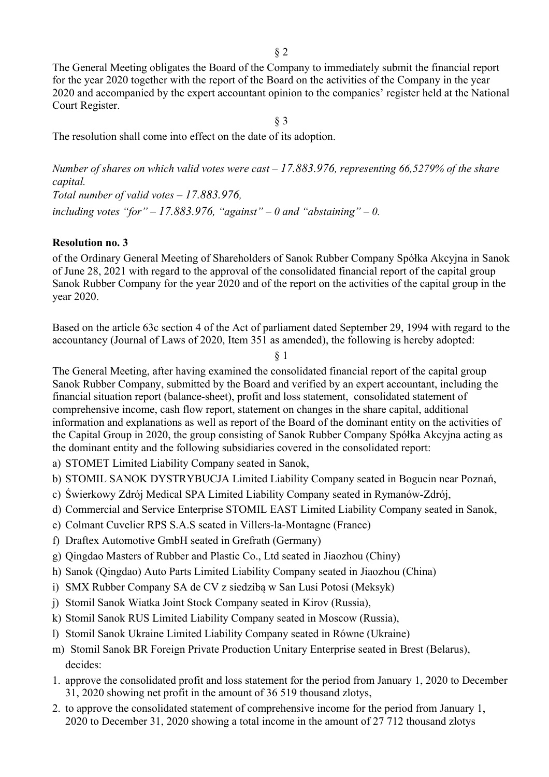The General Meeting obligates the Board of the Company to immediately submit the financial report for the year 2020 together with the report of the Board on the activities of the Company in the year 2020 and accompanied by the expert accountant opinion to the companies' register held at the National Court Register.

§ 3

The resolution shall come into effect on the date of its adoption.

*Number of shares on which valid votes were cast – 17.883.976, representing 66,5279% of the share capital. Total number of valid votes – 17.883.976,*  including votes "for" – 17.883.976, "against" – 0 and "abstaining" – 0.

## **Resolution no. 3**

of the Ordinary General Meeting of Shareholders of Sanok Rubber Company Spółka Akcyjna in Sanok of June 28, 2021 with regard to the approval of the consolidated financial report of the capital group Sanok Rubber Company for the year 2020 and of the report on the activities of the capital group in the year 2020.

Based on the article 63c section 4 of the Act of parliament dated September 29, 1994 with regard to the accountancy (Journal of Laws of 2020, Item 351 as amended), the following is hereby adopted:

§ 1

The General Meeting, after having examined the consolidated financial report of the capital group Sanok Rubber Company, submitted by the Board and verified by an expert accountant, including the financial situation report (balance-sheet), profit and loss statement, consolidated statement of comprehensive income, cash flow report, statement on changes in the share capital, additional information and explanations as well as report of the Board of the dominant entity on the activities of the Capital Group in 2020, the group consisting of Sanok Rubber Company Spółka Akcyjna acting as the dominant entity and the following subsidiaries covered in the consolidated report:

a) STOMET Limited Liability Company seated in Sanok,

- b) STOMIL SANOK DYSTRYBUCJA Limited Liability Company seated in Bogucin near Poznań,
- c) Świerkowy Zdrój Medical SPA Limited Liability Company seated in Rymanów-Zdrój,
- d) Commercial and Service Enterprise STOMIL EAST Limited Liability Company seated in Sanok,
- e) Colmant Cuvelier RPS S.A.S seated in Villers-la-Montagne (France)
- f) Draftex Automotive GmbH seated in Grefrath (Germany)
- g) Qingdao Masters of Rubber and Plastic Co., Ltd seated in Jiaozhou (Chiny)
- h) Sanok (Qingdao) Auto Parts Limited Liability Company seated in Jiaozhou (China)
- i) SMX Rubber Company SA de CV z siedzibą w San Lusi Potosi (Meksyk)
- j) Stomil Sanok Wiatka Joint Stock Company seated in Kirov (Russia),
- k) Stomil Sanok RUS Limited Liability Company seated in Moscow (Russia),
- l) Stomil Sanok Ukraine Limited Liability Company seated in Równe (Ukraine)
- m) Stomil Sanok BR Foreign Private Production Unitary Enterprise seated in Brest (Belarus), decides:
- 1. approve the consolidated profit and loss statement for the period from January 1, 2020 to December 31, 2020 showing net profit in the amount of 36 519 thousand zlotys,
- 2. to approve the consolidated statement of comprehensive income for the period from January 1, 2020 to December 31, 2020 showing a total income in the amount of 27 712 thousand zlotys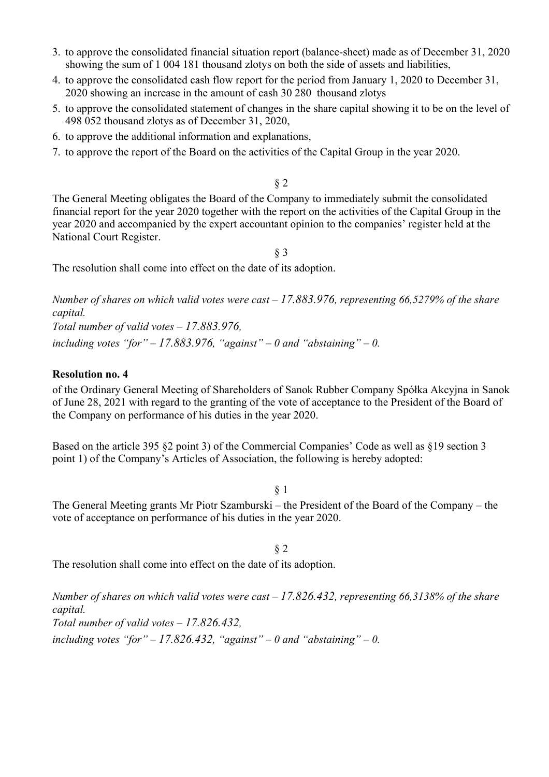- 3. to approve the consolidated financial situation report (balance-sheet) made as of December 31, 2020 showing the sum of 1 004 181 thousand zlotys on both the side of assets and liabilities,
- 4. to approve the consolidated cash flow report for the period from January 1, 2020 to December 31, 2020 showing an increase in the amount of cash 30 280 thousand zlotys
- 5. to approve the consolidated statement of changes in the share capital showing it to be on the level of 498 052 thousand zlotys as of December 31, 2020,
- 6. to approve the additional information and explanations,
- 7. to approve the report of the Board on the activities of the Capital Group in the year 2020.

§ 2

The General Meeting obligates the Board of the Company to immediately submit the consolidated financial report for the year 2020 together with the report on the activities of the Capital Group in the year 2020 and accompanied by the expert accountant opinion to the companies' register held at the National Court Register.

§ 3

The resolution shall come into effect on the date of its adoption.

*Number of shares on which valid votes were cast – 17.883.976, representing 66,5279% of the share capital. Total number of valid votes – 17.883.976,* 

# including votes "for"  $-17.883.976$ , "against"  $-0$  and "abstaining"  $-0$ .

## **Resolution no. 4**

of the Ordinary General Meeting of Shareholders of Sanok Rubber Company Spółka Akcyjna in Sanok of June 28, 2021 with regard to the granting of the vote of acceptance to the President of the Board of the Company on performance of his duties in the year 2020.

Based on the article 395 §2 point 3) of the Commercial Companies' Code as well as §19 section 3 point 1) of the Company's Articles of Association, the following is hereby adopted:

# § 1

The General Meeting grants Mr Piotr Szamburski – the President of the Board of the Company – the vote of acceptance on performance of his duties in the year 2020.

§ 2 The resolution shall come into effect on the date of its adoption.

*Number of shares on which valid votes were cast – 17.826.432, representing 66,3138% of the share capital. Total number of valid votes – 17.826.432,*  including votes "for"  $-17.826.432$ , "against"  $-0$  and "abstaining"  $-0$ .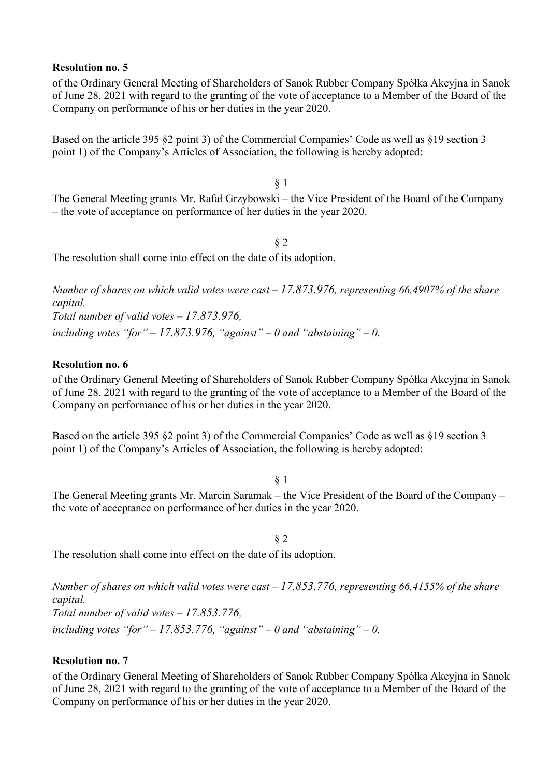#### **Resolution no. 5**

of the Ordinary General Meeting of Shareholders of Sanok Rubber Company Spółka Akcyjna in Sanok of June 28, 2021 with regard to the granting of the vote of acceptance to a Member of the Board of the Company on performance of his or her duties in the year 2020.

Based on the article 395 §2 point 3) of the Commercial Companies' Code as well as §19 section 3 point 1) of the Company's Articles of Association, the following is hereby adopted:

§ 1 The General Meeting grants Mr. Rafał Grzybowski – the Vice President of the Board of the Company – the vote of acceptance on performance of her duties in the year 2020.

§ 2 The resolution shall come into effect on the date of its adoption.

*Number of shares on which valid votes were cast – 17.873.976, representing 66,4907% of the share capital. Total number of valid votes – 17.873.976,*  including votes "for"  $-17.873.976$ , "against"  $-0$  and "abstaining"  $-0$ .

## **Resolution no. 6**

of the Ordinary General Meeting of Shareholders of Sanok Rubber Company Spółka Akcyjna in Sanok of June 28, 2021 with regard to the granting of the vote of acceptance to a Member of the Board of the Company on performance of his or her duties in the year 2020.

Based on the article 395 §2 point 3) of the Commercial Companies' Code as well as §19 section 3 point 1) of the Company's Articles of Association, the following is hereby adopted:

§ 1 The General Meeting grants Mr. Marcin Saramak – the Vice President of the Board of the Company – the vote of acceptance on performance of her duties in the year 2020.

The resolution shall come into effect on the date of its adoption.

*Number of shares on which valid votes were cast – 17.853.776, representing 66,4155% of the share capital. Total number of valid votes – 17.853.776,*  including votes "for"  $-17.853.776$ , "against"  $-0$  and "abstaining"  $-0$ .

§ 2

## **Resolution no. 7**

of the Ordinary General Meeting of Shareholders of Sanok Rubber Company Spółka Akcyjna in Sanok of June 28, 2021 with regard to the granting of the vote of acceptance to a Member of the Board of the Company on performance of his or her duties in the year 2020.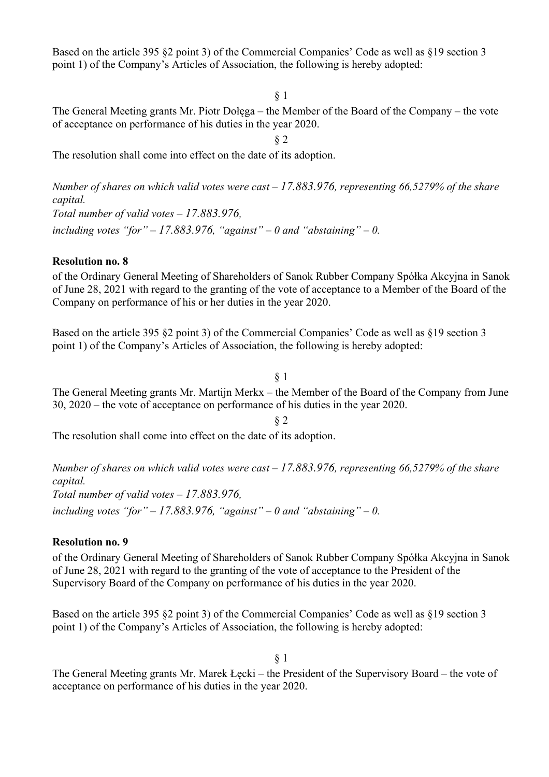Based on the article 395 §2 point 3) of the Commercial Companies' Code as well as §19 section 3 point 1) of the Company's Articles of Association, the following is hereby adopted:

§ 1

§ 2

The General Meeting grants Mr. Piotr Dołęga – the Member of the Board of the Company – the vote of acceptance on performance of his duties in the year 2020.

The resolution shall come into effect on the date of its adoption.

*Number of shares on which valid votes were cast – 17.883.976, representing 66,5279% of the share capital. Total number of valid votes – 17.883.976,*  including votes "for"  $-17.883.976$ , "against"  $-0$  and "abstaining"  $-0$ .

## **Resolution no. 8**

of the Ordinary General Meeting of Shareholders of Sanok Rubber Company Spółka Akcyjna in Sanok of June 28, 2021 with regard to the granting of the vote of acceptance to a Member of the Board of the Company on performance of his or her duties in the year 2020.

Based on the article 395 §2 point 3) of the Commercial Companies' Code as well as §19 section 3 point 1) of the Company's Articles of Association, the following is hereby adopted:

#### § 1

The General Meeting grants Mr. Martijn Merkx – the Member of the Board of the Company from June 30, 2020 – the vote of acceptance on performance of his duties in the year 2020.

§ 2

The resolution shall come into effect on the date of its adoption.

*Number of shares on which valid votes were cast – 17.883.976, representing 66,5279% of the share capital. Total number of valid votes – 17.883.976,*  including votes "for"  $-17.883.976$ , "against"  $-0$  and "abstaining"  $-0$ .

## **Resolution no. 9**

of the Ordinary General Meeting of Shareholders of Sanok Rubber Company Spółka Akcyjna in Sanok of June 28, 2021 with regard to the granting of the vote of acceptance to the President of the Supervisory Board of the Company on performance of his duties in the year 2020.

Based on the article 395 §2 point 3) of the Commercial Companies' Code as well as §19 section 3 point 1) of the Company's Articles of Association, the following is hereby adopted:

§ 1

The General Meeting grants Mr. Marek Łęcki – the President of the Supervisory Board – the vote of acceptance on performance of his duties in the year 2020.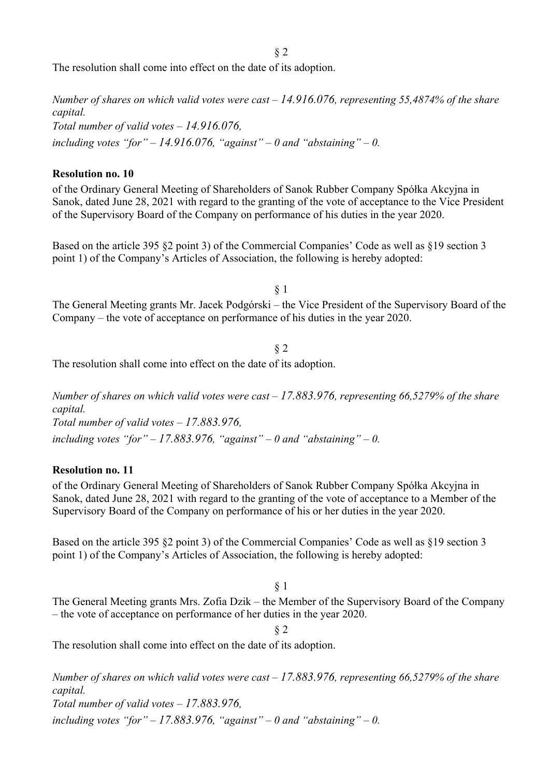§ 2

The resolution shall come into effect on the date of its adoption.

*Number of shares on which valid votes were cast – 14.916.076, representing 55,4874% of the share capital. Total number of valid votes – 14.916.076,*  including votes "for"  $-14.916.076$ , "against"  $-0$  and "abstaining"  $-0$ .

#### **Resolution no. 10**

of the Ordinary General Meeting of Shareholders of Sanok Rubber Company Spółka Akcyjna in Sanok, dated June 28, 2021 with regard to the granting of the vote of acceptance to the Vice President of the Supervisory Board of the Company on performance of his duties in the year 2020.

Based on the article 395 §2 point 3) of the Commercial Companies' Code as well as §19 section 3 point 1) of the Company's Articles of Association, the following is hereby adopted:

§ 1

The General Meeting grants Mr. Jacek Podgórski – the Vice President of the Supervisory Board of the Company – the vote of acceptance on performance of his duties in the year 2020.

§ 2 The resolution shall come into effect on the date of its adoption.

*Number of shares on which valid votes were cast – 17.883.976, representing 66,5279% of the share capital. Total number of valid votes – 17.883.976,*  including votes "for"  $-17.883.976$ , "against"  $-0$  and "abstaining"  $-0$ .

## **Resolution no. 11**

of the Ordinary General Meeting of Shareholders of Sanok Rubber Company Spółka Akcyjna in Sanok, dated June 28, 2021 with regard to the granting of the vote of acceptance to a Member of the Supervisory Board of the Company on performance of his or her duties in the year 2020.

Based on the article 395 §2 point 3) of the Commercial Companies' Code as well as §19 section 3 point 1) of the Company's Articles of Association, the following is hereby adopted:

## § 1

The General Meeting grants Mrs. Zofia Dzik – the Member of the Supervisory Board of the Company – the vote of acceptance on performance of her duties in the year 2020.

§ 2

The resolution shall come into effect on the date of its adoption.

*Number of shares on which valid votes were cast – 17.883.976, representing 66,5279% of the share capital. Total number of valid votes – 17.883.976, including votes "for" – 17.883.976, "against" – 0 and "abstaining" – 0.*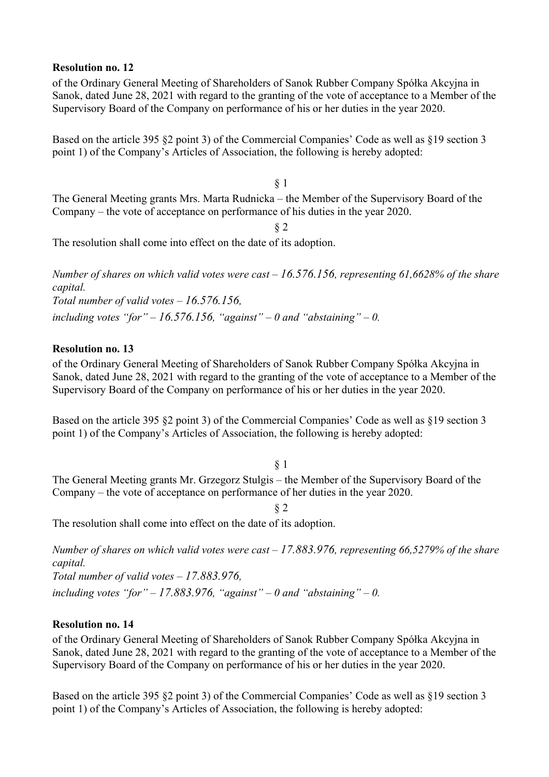#### **Resolution no. 12**

of the Ordinary General Meeting of Shareholders of Sanok Rubber Company Spółka Akcyjna in Sanok, dated June 28, 2021 with regard to the granting of the vote of acceptance to a Member of the Supervisory Board of the Company on performance of his or her duties in the year 2020.

Based on the article 395 §2 point 3) of the Commercial Companies' Code as well as §19 section 3 point 1) of the Company's Articles of Association, the following is hereby adopted:

§ 1 The General Meeting grants Mrs. Marta Rudnicka – the Member of the Supervisory Board of the Company – the vote of acceptance on performance of his duties in the year 2020.

§ 2

The resolution shall come into effect on the date of its adoption.

*Number of shares on which valid votes were cast – 16.576.156, representing 61,6628% of the share capital. Total number of valid votes – 16.576.156,*  including votes "for"  $-16.576.156$ , "against"  $-0$  and "abstaining"  $-0$ .

## **Resolution no. 13**

of the Ordinary General Meeting of Shareholders of Sanok Rubber Company Spółka Akcyjna in Sanok, dated June 28, 2021 with regard to the granting of the vote of acceptance to a Member of the Supervisory Board of the Company on performance of his or her duties in the year 2020.

Based on the article 395 §2 point 3) of the Commercial Companies' Code as well as §19 section 3 point 1) of the Company's Articles of Association, the following is hereby adopted:

§ 1

The General Meeting grants Mr. Grzegorz Stulgis – the Member of the Supervisory Board of the Company – the vote of acceptance on performance of her duties in the year 2020.

§ 2

The resolution shall come into effect on the date of its adoption.

*Number of shares on which valid votes were cast – 17.883.976, representing 66,5279% of the share capital.* 

*Total number of valid votes – 17.883.976,* 

including votes "for"  $-17.883.976$ , "against"  $-0$  and "abstaining"  $-0$ .

## **Resolution no. 14**

of the Ordinary General Meeting of Shareholders of Sanok Rubber Company Spółka Akcyjna in Sanok, dated June 28, 2021 with regard to the granting of the vote of acceptance to a Member of the Supervisory Board of the Company on performance of his or her duties in the year 2020.

Based on the article 395 §2 point 3) of the Commercial Companies' Code as well as §19 section 3 point 1) of the Company's Articles of Association, the following is hereby adopted: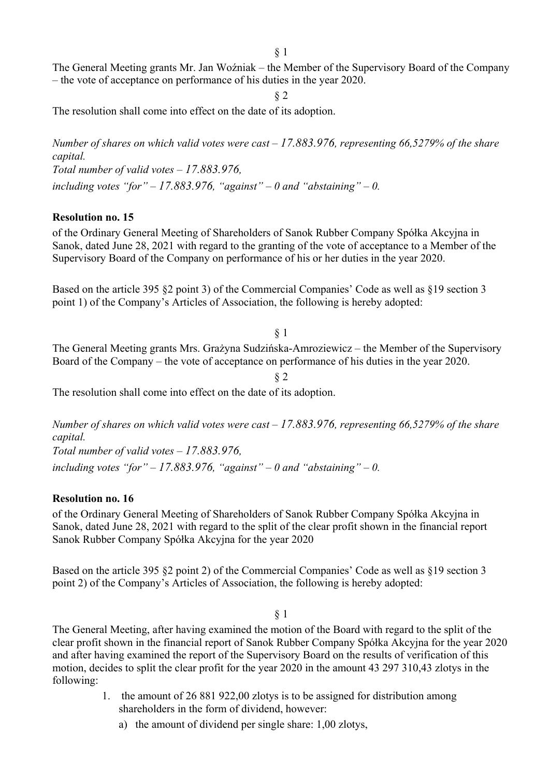The General Meeting grants Mr. Jan Woźniak – the Member of the Supervisory Board of the Company – the vote of acceptance on performance of his duties in the year 2020.

§ 2

The resolution shall come into effect on the date of its adoption.

*Number of shares on which valid votes were cast – 17.883.976, representing 66,5279% of the share capital. Total number of valid votes – 17.883.976,*  including votes "for"  $-17.883.976$ , "against"  $-0$  and "abstaining"  $-0$ .

## **Resolution no. 15**

of the Ordinary General Meeting of Shareholders of Sanok Rubber Company Spółka Akcyjna in Sanok, dated June 28, 2021 with regard to the granting of the vote of acceptance to a Member of the Supervisory Board of the Company on performance of his or her duties in the year 2020.

Based on the article 395 §2 point 3) of the Commercial Companies' Code as well as §19 section 3 point 1) of the Company's Articles of Association, the following is hereby adopted:

#### § 1

The General Meeting grants Mrs. Grażyna Sudzińska-Amroziewicz – the Member of the Supervisory Board of the Company – the vote of acceptance on performance of his duties in the year 2020.

§ 2

The resolution shall come into effect on the date of its adoption.

*Number of shares on which valid votes were cast – 17.883.976, representing 66,5279% of the share capital. Total number of valid votes – 17.883.976,*  including votes "for"  $-17.883.976$ , "against"  $-0$  and "abstaining"  $-0$ .

## **Resolution no. 16**

of the Ordinary General Meeting of Shareholders of Sanok Rubber Company Spółka Akcyjna in Sanok, dated June 28, 2021 with regard to the split of the clear profit shown in the financial report Sanok Rubber Company Spółka Akcyjna for the year 2020

Based on the article 395 §2 point 2) of the Commercial Companies' Code as well as §19 section 3 point 2) of the Company's Articles of Association, the following is hereby adopted:

## § 1

The General Meeting, after having examined the motion of the Board with regard to the split of the clear profit shown in the financial report of Sanok Rubber Company Spółka Akcyjna for the year 2020 and after having examined the report of the Supervisory Board on the results of verification of this motion, decides to split the clear profit for the year 2020 in the amount 43 297 310,43 zlotys in the following:

- 1. the amount of 26 881 922,00 zlotys is to be assigned for distribution among shareholders in the form of dividend, however:
	- a) the amount of dividend per single share: 1,00 zlotys,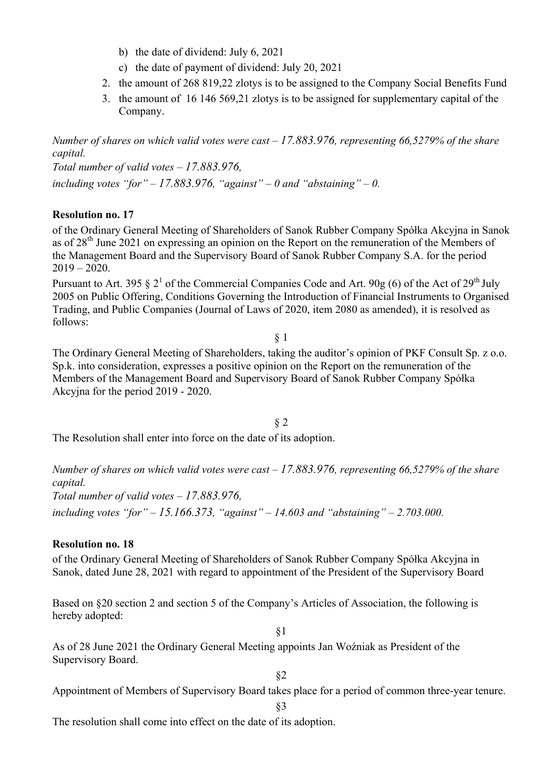- b) the date of dividend: July 6, 2021
- c) the date of payment of dividend: July 20, 2021
- 2. the amount of 268 819,22 zlotys is to be assigned to the Company Social Benefits Fund
- 3. the amount of 16 146 569,21 zlotys is to be assigned for supplementary capital of the Company.

*Number of shares on which valid votes were cast – 17.883.976, representing 66,5279% of the share capital.* 

*Total number of valid votes – 17.883.976,*  including votes "for"  $-17.883.976$ , "against"  $-0$  and "abstaining"  $-0$ .

## **Resolution no. 17**

of the Ordinary General Meeting of Shareholders of Sanok Rubber Company Spółka Akcyjna in Sanok as of 28<sup>th</sup> June 2021 on expressing an opinion on the Report on the remuneration of the Members of the Management Board and the Supervisory Board of Sanok Rubber Company S.A. for the period  $2019 - 2020$ .

Pursuant to Art. 395  $\S 2^1$  of the Commercial Companies Code and Art. 90g (6) of the Act of 29<sup>th</sup> July 2005 on Public Offering, Conditions Governing the Introduction of Financial Instruments to Organised Trading, and Public Companies (Journal of Laws of 2020, item 2080 as amended), it is resolved as follows:

§ 1

The Ordinary General Meeting of Shareholders, taking the auditor's opinion of PKF Consult Sp. z o.o. Sp.k. into consideration, expresses a positive opinion on the Report on the remuneration of the Members of the Management Board and Supervisory Board of Sanok Rubber Company Spółka Akcyjna for the period 2019 - 2020.

§ 2

The Resolution shall enter into force on the date of its adoption.

*Number of shares on which valid votes were cast – 17.883.976, representing 66,5279% of the share capital.* 

*Total number of valid votes – 17.883.976,* 

*including votes "for" – 15.166.373, "against" – 14.603 and "abstaining" – 2.703.000.*

#### **Resolution no. 18**

of the Ordinary General Meeting of Shareholders of Sanok Rubber Company Spółka Akcyjna in Sanok, dated June 28, 2021 with regard to appointment of the President of the Supervisory Board

Based on §20 section 2 and section 5 of the Company's Articles of Association, the following is hereby adopted:

§1

As of 28 June 2021 the Ordinary General Meeting appoints Jan Woźniak as President of the Supervisory Board.

§2

Appointment of Members of Supervisory Board takes place for a period of common three-year tenure.

§3

The resolution shall come into effect on the date of its adoption.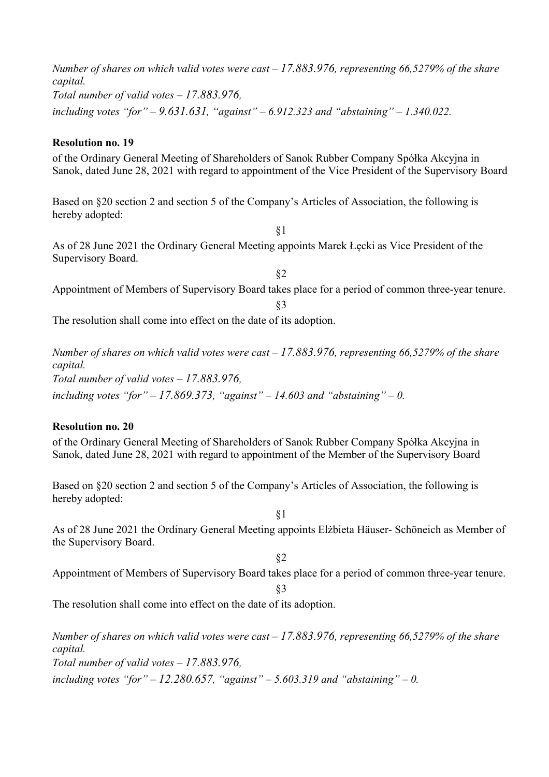*Number of shares on which valid votes were cast – 17.883.976, representing 66,5279% of the share capital. Total number of valid votes – 17.883.976, including votes "for" – 9.631.631, "against" – 6.912.323 and "abstaining" – 1.340.022.* **Resolution no. 19**  of the Ordinary General Meeting of Shareholders of Sanok Rubber Company Spółka Akcyjna in Sanok, dated June 28, 2021 with regard to appointment of the Vice President of the Supervisory Board Based on §20 section 2 and section 5 of the Company's Articles of Association, the following is hereby adopted: §1 As of 28 June 2021 the Ordinary General Meeting appoints Marek Łęcki as Vice President of the Supervisory Board. §2 Appointment of Members of Supervisory Board takes place for a period of common three-year tenure. §3 The resolution shall come into effect on the date of its adoption. *Number of shares on which valid votes were cast – 17.883.976, representing 66,5279% of the share* 

*capital. Total number of valid votes – 17.883.976, including votes "for" – 17.869.373, "against" – 14.603 and "abstaining" – 0.*

## **Resolution no. 20**

of the Ordinary General Meeting of Shareholders of Sanok Rubber Company Spółka Akcyjna in Sanok, dated June 28, 2021 with regard to appointment of the Member of the Supervisory Board

Based on §20 section 2 and section 5 of the Company's Articles of Association, the following is hereby adopted:

As of 28 June 2021 the Ordinary General Meeting appoints Elżbieta Häuser- Schöneich as Member of the Supervisory Board.

§1

- §2 Appointment of Members of Supervisory Board takes place for a period of common three-year tenure.
	- §3

The resolution shall come into effect on the date of its adoption.

*Number of shares on which valid votes were cast – 17.883.976, representing 66,5279% of the share capital. Total number of valid votes – 17.883.976,* 

*including votes "for" – 12.280.657, "against" – 5.603.319 and "abstaining" – 0.*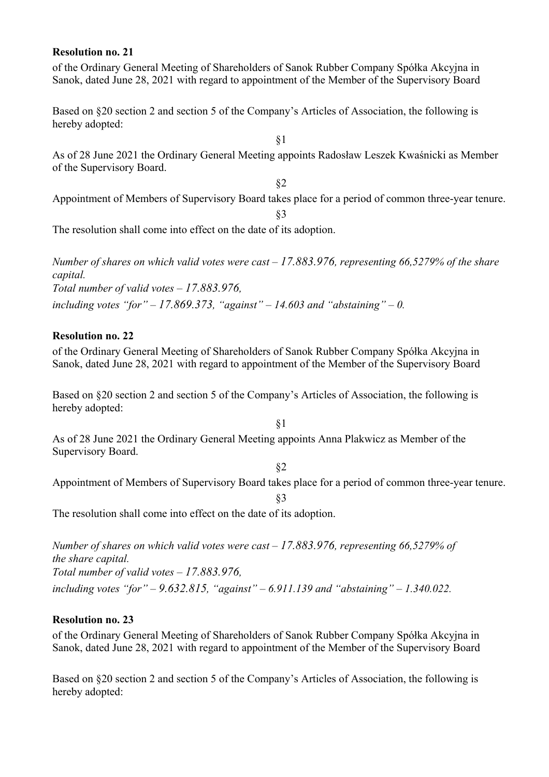#### **Resolution no. 21**

of the Ordinary General Meeting of Shareholders of Sanok Rubber Company Spółka Akcyjna in Sanok, dated June 28, 2021 with regard to appointment of the Member of the Supervisory Board

Based on §20 section 2 and section 5 of the Company's Articles of Association, the following is hereby adopted:

As of 28 June 2021 the Ordinary General Meeting appoints Radosław Leszek Kwaśnicki as Member of the Supervisory Board.

§1

§2 Appointment of Members of Supervisory Board takes place for a period of common three-year tenure.

§3

The resolution shall come into effect on the date of its adoption.

*Number of shares on which valid votes were cast – 17.883.976, representing 66,5279% of the share capital. Total number of valid votes – 17.883.976, including votes "for" – 17.869.373, "against" – 14.603 and "abstaining" – 0.*

## **Resolution no. 22**

of the Ordinary General Meeting of Shareholders of Sanok Rubber Company Spółka Akcyjna in Sanok, dated June 28, 2021 with regard to appointment of the Member of the Supervisory Board

Based on §20 section 2 and section 5 of the Company's Articles of Association, the following is hereby adopted:

As of 28 June 2021 the Ordinary General Meeting appoints Anna Plakwicz as Member of the Supervisory Board.

§2

§1

Appointment of Members of Supervisory Board takes place for a period of common three-year tenure.

§3

The resolution shall come into effect on the date of its adoption.

*Number of shares on which valid votes were cast – 17.883.976, representing 66,5279% of the share capital. Total number of valid votes – 17.883.976, including votes "for" – 9.632.815, "against" – 6.911.139 and "abstaining" – 1.340.022.*

## **Resolution no. 23**

of the Ordinary General Meeting of Shareholders of Sanok Rubber Company Spółka Akcyjna in Sanok, dated June 28, 2021 with regard to appointment of the Member of the Supervisory Board

Based on §20 section 2 and section 5 of the Company's Articles of Association, the following is hereby adopted: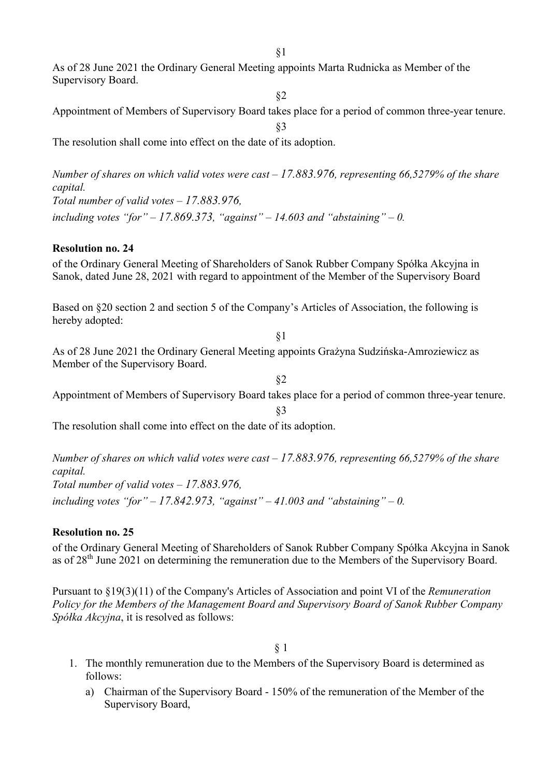As of 28 June 2021 the Ordinary General Meeting appoints Marta Rudnicka as Member of the Supervisory Board.

§2

Appointment of Members of Supervisory Board takes place for a period of common three-year tenure. §3

The resolution shall come into effect on the date of its adoption.

*Number of shares on which valid votes were cast – 17.883.976, representing 66,5279% of the share capital. Total number of valid votes – 17.883.976, including votes "for" – 17.869.373, "against" – 14.603 and "abstaining" – 0.*

## **Resolution no. 24**

of the Ordinary General Meeting of Shareholders of Sanok Rubber Company Spółka Akcyjna in Sanok, dated June 28, 2021 with regard to appointment of the Member of the Supervisory Board

Based on §20 section 2 and section 5 of the Company's Articles of Association, the following is hereby adopted:

§1

As of 28 June 2021 the Ordinary General Meeting appoints Grażyna Sudzińska-Amroziewicz as Member of the Supervisory Board.

§2 Appointment of Members of Supervisory Board takes place for a period of common three-year tenure.

§3

The resolution shall come into effect on the date of its adoption.

*Number of shares on which valid votes were cast – 17.883.976, representing 66,5279% of the share capital.* 

*Total number of valid votes – 17.883.976,* 

*including votes "for" – 17.842.973, "against" – 41.003 and "abstaining" – 0.*

# **Resolution no. 25**

of the Ordinary General Meeting of Shareholders of Sanok Rubber Company Spółka Akcyjna in Sanok as of  $28<sup>th</sup>$  June 2021 on determining the remuneration due to the Members of the Supervisory Board.

Pursuant to §19(3)(11) of the Company's Articles of Association and point VI of the *Remuneration Policy for the Members of the Management Board and Supervisory Board of Sanok Rubber Company Spółka Akcyjna*, it is resolved as follows:

§ 1

- 1. The monthly remuneration due to the Members of the Supervisory Board is determined as follows:
	- a) Chairman of the Supervisory Board 150% of the remuneration of the Member of the Supervisory Board,